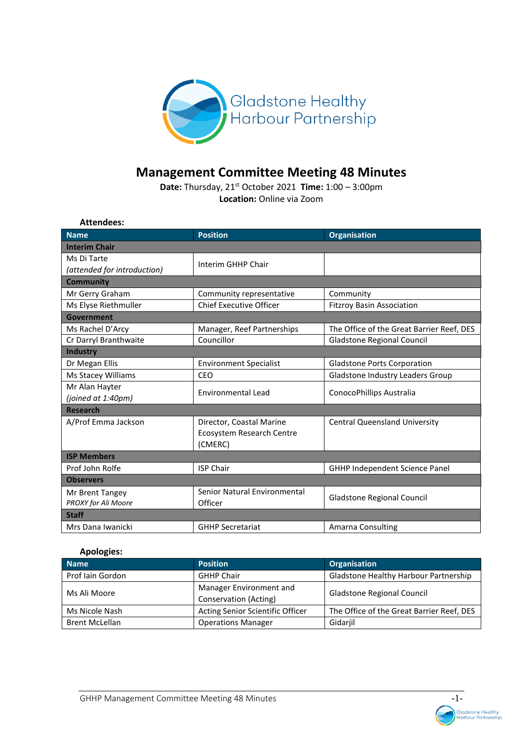

# **Management Committee Meeting 48 Minutes**

**Date:** Thursday, 21st October 2021 **Time:** 1:00 – 3:00pm **Location:** Online via Zoom

| <b>Attendees:</b>           |                                |                                           |  |  |
|-----------------------------|--------------------------------|-------------------------------------------|--|--|
| <b>Name</b>                 | <b>Position</b>                | <b>Organisation</b>                       |  |  |
| <b>Interim Chair</b>        |                                |                                           |  |  |
| Ms Di Tarte                 | Interim GHHP Chair             |                                           |  |  |
| (attended for introduction) |                                |                                           |  |  |
| Community                   |                                |                                           |  |  |
| Mr Gerry Graham             | Community representative       | Community                                 |  |  |
| Ms Elyse Riethmuller        | <b>Chief Executive Officer</b> | <b>Fitzroy Basin Association</b>          |  |  |
| <b>Government</b>           |                                |                                           |  |  |
| Ms Rachel D'Arcy            | Manager, Reef Partnerships     | The Office of the Great Barrier Reef, DES |  |  |
| Cr Darryl Branthwaite       | Councillor                     | <b>Gladstone Regional Council</b>         |  |  |
| <b>Industry</b>             |                                |                                           |  |  |
| Dr Megan Ellis              | <b>Environment Specialist</b>  | <b>Gladstone Ports Corporation</b>        |  |  |
| Ms Stacey Williams          | CEO                            | Gladstone Industry Leaders Group          |  |  |
| Mr Alan Hayter              | <b>Environmental Lead</b>      | ConocoPhillips Australia                  |  |  |
| (joined at 1:40pm)          |                                |                                           |  |  |
| <b>Research</b>             |                                |                                           |  |  |
| A/Prof Emma Jackson         | Director, Coastal Marine       | <b>Central Queensland University</b>      |  |  |
|                             | Ecosystem Research Centre      |                                           |  |  |
|                             | (CMERC)                        |                                           |  |  |
| <b>ISP Members</b>          |                                |                                           |  |  |
| Prof John Rolfe             | <b>ISP Chair</b>               | <b>GHHP Independent Science Panel</b>     |  |  |
| <b>Observers</b>            |                                |                                           |  |  |
| Mr Brent Tangey             | Senior Natural Environmental   | Gladstone Regional Council                |  |  |
| PROXY for Ali Moore         | Officer                        |                                           |  |  |
| <b>Staff</b>                |                                |                                           |  |  |
| Mrs Dana Iwanicki           | <b>GHHP Secretariat</b>        | Amarna Consulting                         |  |  |

# **Apologies:**

| <b>Name</b>           | <b>Position</b>                                  | <b>Organisation</b>                       |
|-----------------------|--------------------------------------------------|-------------------------------------------|
| Prof Iain Gordon      | <b>GHHP Chair</b>                                | Gladstone Healthy Harbour Partnership     |
| Ms Ali Moore          | Manager Environment and<br>Conservation (Acting) | Gladstone Regional Council                |
| Ms Nicole Nash        | Acting Senior Scientific Officer                 | The Office of the Great Barrier Reef, DES |
| <b>Brent McLellan</b> | <b>Operations Manager</b>                        | Gidarjil                                  |

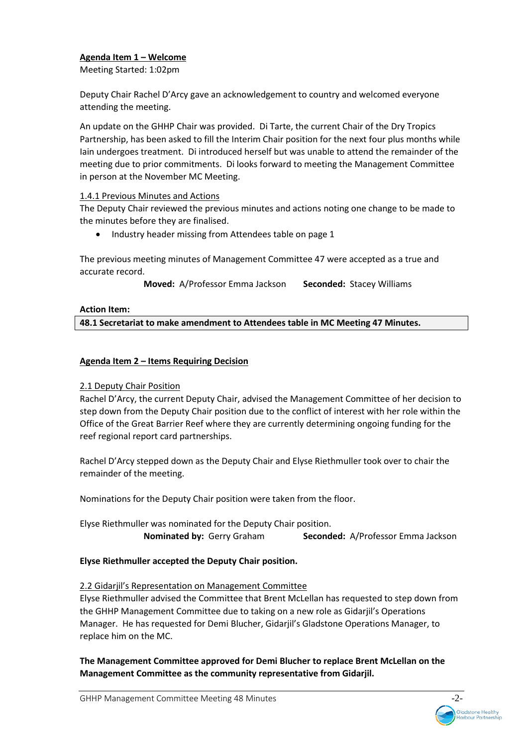# **Agenda Item 1 – Welcome**

Meeting Started: 1:02pm

Deputy Chair Rachel D'Arcy gave an acknowledgement to country and welcomed everyone attending the meeting.

An update on the GHHP Chair was provided. Di Tarte, the current Chair of the Dry Tropics Partnership, has been asked to fill the Interim Chair position for the next four plus months while Iain undergoes treatment. Di introduced herself but was unable to attend the remainder of the meeting due to prior commitments. Di looks forward to meeting the Management Committee in person at the November MC Meeting.

# 1.4.1 Previous Minutes and Actions

The Deputy Chair reviewed the previous minutes and actions noting one change to be made to the minutes before they are finalised.

• Industry header missing from Attendees table on page 1

The previous meeting minutes of Management Committee 47 were accepted as a true and accurate record.

**Moved:** A/Professor Emma Jackson **Seconded:** Stacey Williams

## **Action Item:**

**48.1 Secretariat to make amendment to Attendees table in MC Meeting 47 Minutes.** 

## **Agenda Item 2 – Items Requiring Decision**

## 2.1 Deputy Chair Position

Rachel D'Arcy, the current Deputy Chair, advised the Management Committee of her decision to step down from the Deputy Chair position due to the conflict of interest with her role within the Office of the Great Barrier Reef where they are currently determining ongoing funding for the reef regional report card partnerships.

Rachel D'Arcy stepped down as the Deputy Chair and Elyse Riethmuller took over to chair the remainder of the meeting.

Nominations for the Deputy Chair position were taken from the floor.

Elyse Riethmuller was nominated for the Deputy Chair position. **Nominated by:** Gerry Graham **Seconded:** A/Professor Emma Jackson

**Elyse Riethmuller accepted the Deputy Chair position.** 

## 2.2 Gidarjil's Representation on Management Committee

Elyse Riethmuller advised the Committee that Brent McLellan has requested to step down from the GHHP Management Committee due to taking on a new role as Gidarjil's Operations Manager. He has requested for Demi Blucher, Gidarjil's Gladstone Operations Manager, to replace him on the MC.

**The Management Committee approved for Demi Blucher to replace Brent McLellan on the Management Committee as the community representative from Gidarjil.** 

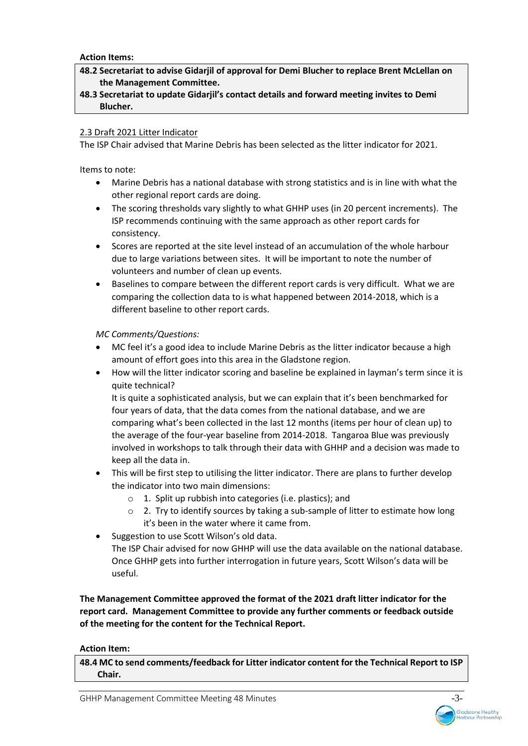**Action Items:**

- **48.2 Secretariat to advise Gidarjil of approval for Demi Blucher to replace Brent McLellan on the Management Committee.**
- **48.3 Secretariat to update Gidarjil's contact details and forward meeting invites to Demi Blucher.**

## 2.3 Draft 2021 Litter Indicator

The ISP Chair advised that Marine Debris has been selected as the litter indicator for 2021.

Items to note:

- Marine Debris has a national database with strong statistics and is in line with what the other regional report cards are doing.
- The scoring thresholds vary slightly to what GHHP uses (in 20 percent increments). The ISP recommends continuing with the same approach as other report cards for consistency.
- Scores are reported at the site level instead of an accumulation of the whole harbour due to large variations between sites. It will be important to note the number of volunteers and number of clean up events.
- Baselines to compare between the different report cards is very difficult. What we are comparing the collection data to is what happened between 2014-2018, which is a different baseline to other report cards.

*MC Comments/Questions:*

- MC feel it's a good idea to include Marine Debris as the litter indicator because a high amount of effort goes into this area in the Gladstone region.
- How will the litter indicator scoring and baseline be explained in layman's term since it is quite technical?

It is quite a sophisticated analysis, but we can explain that it's been benchmarked for four years of data, that the data comes from the national database, and we are comparing what's been collected in the last 12 months (items per hour of clean up) to the average of the four-year baseline from 2014-2018. Tangaroa Blue was previously involved in workshops to talk through their data with GHHP and a decision was made to keep all the data in.

- This will be first step to utilising the litter indicator. There are plans to further develop the indicator into two main dimensions:
	- o 1. Split up rubbish into categories (i.e. plastics); and
	- o 2. Try to identify sources by taking a sub-sample of litter to estimate how long it's been in the water where it came from.
- Suggestion to use Scott Wilson's old data.

The ISP Chair advised for now GHHP will use the data available on the national database. Once GHHP gets into further interrogation in future years, Scott Wilson's data will be useful.

**The Management Committee approved the format of the 2021 draft litter indicator for the report card. Management Committee to provide any further comments or feedback outside of the meeting for the content for the Technical Report.** 

## **Action Item:**

**48.4 MC to send comments/feedback for Litter indicator content for the Technical Report to ISP Chair.** 

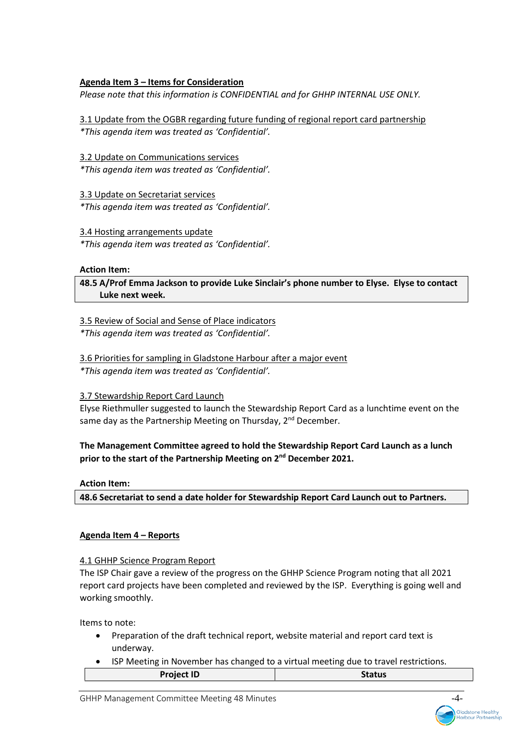# **Agenda Item 3 – Items for Consideration**

*Please note that this information is CONFIDENTIAL and for GHHP INTERNAL USE ONLY.* 

3.1 Update from the OGBR regarding future funding of regional report card partnership *\*This agenda item was treated as 'Confidential'.*

3.2 Update on Communications services

*\*This agenda item was treated as 'Confidential'.*

3.3 Update on Secretariat services *\*This agenda item was treated as 'Confidential'.*

## 3.4 Hosting arrangements update

*\*This agenda item was treated as 'Confidential'.*

**Action Item:**

**48.5 A/Prof Emma Jackson to provide Luke Sinclair's phone number to Elyse. Elyse to contact Luke next week.** 

3.5 Review of Social and Sense of Place indicators

*\*This agenda item was treated as 'Confidential'.*

3.6 Priorities for sampling in Gladstone Harbour after a major event

*\*This agenda item was treated as 'Confidential'.* 

# 3.7 Stewardship Report Card Launch

Elyse Riethmuller suggested to launch the Stewardship Report Card as a lunchtime event on the same day as the Partnership Meeting on Thursday,  $2^{nd}$  December.

# **The Management Committee agreed to hold the Stewardship Report Card Launch as a lunch prior to the start of the Partnership Meeting on 2nd December 2021.**

## **Action Item:**

**48.6 Secretariat to send a date holder for Stewardship Report Card Launch out to Partners.** 

# **Agenda Item 4 – Reports**

## 4.1 GHHP Science Program Report

The ISP Chair gave a review of the progress on the GHHP Science Program noting that all 2021 report card projects have been completed and reviewed by the ISP. Everything is going well and working smoothly.

Items to note:

- Preparation of the draft technical report, website material and report card text is underway.
- ISP Meeting in November has changed to a virtual meeting due to travel restrictions.

| <b>Project ID</b> | <b>Status</b> |
|-------------------|---------------|
|                   |               |

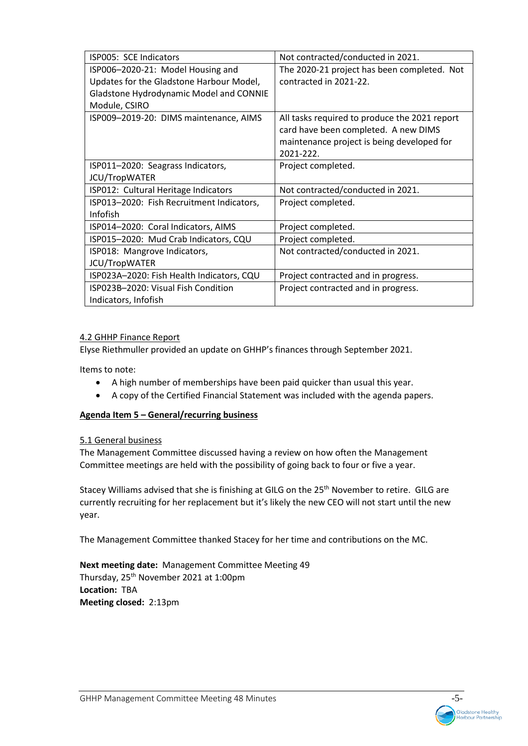| ISP005: SCE Indicators                    | Not contracted/conducted in 2021.             |  |  |
|-------------------------------------------|-----------------------------------------------|--|--|
| ISP006-2020-21: Model Housing and         | The 2020-21 project has been completed. Not   |  |  |
| Updates for the Gladstone Harbour Model,  | contracted in 2021-22.                        |  |  |
| Gladstone Hydrodynamic Model and CONNIE   |                                               |  |  |
| Module, CSIRO                             |                                               |  |  |
| ISP009-2019-20: DIMS maintenance, AIMS    | All tasks required to produce the 2021 report |  |  |
|                                           | card have been completed. A new DIMS          |  |  |
|                                           | maintenance project is being developed for    |  |  |
|                                           | 2021-222.                                     |  |  |
| ISP011-2020: Seagrass Indicators,         | Project completed.                            |  |  |
| JCU/TropWATER                             |                                               |  |  |
| ISP012: Cultural Heritage Indicators      | Not contracted/conducted in 2021.             |  |  |
| ISP013-2020: Fish Recruitment Indicators, | Project completed.                            |  |  |
| Infofish                                  |                                               |  |  |
| ISP014-2020: Coral Indicators, AIMS       | Project completed.                            |  |  |
| ISP015-2020: Mud Crab Indicators, CQU     | Project completed.                            |  |  |
| ISP018: Mangrove Indicators,              | Not contracted/conducted in 2021.             |  |  |
| JCU/TropWATER                             |                                               |  |  |
| ISP023A-2020: Fish Health Indicators, CQU | Project contracted and in progress.           |  |  |
| ISP023B-2020: Visual Fish Condition       | Project contracted and in progress.           |  |  |
| Indicators, Infofish                      |                                               |  |  |

# 4.2 GHHP Finance Report

Elyse Riethmuller provided an update on GHHP's finances through September 2021.

Items to note:

- A high number of memberships have been paid quicker than usual this year.
- A copy of the Certified Financial Statement was included with the agenda papers.

# **Agenda Item 5 – General/recurring business**

## 5.1 General business

The Management Committee discussed having a review on how often the Management Committee meetings are held with the possibility of going back to four or five a year.

Stacey Williams advised that she is finishing at GILG on the 25<sup>th</sup> November to retire. GILG are currently recruiting for her replacement but it's likely the new CEO will not start until the new year.

The Management Committee thanked Stacey for her time and contributions on the MC.

**Next meeting date:** Management Committee Meeting 49 Thursday, 25<sup>th</sup> November 2021 at 1:00pm **Location:** TBA **Meeting closed:** 2:13pm

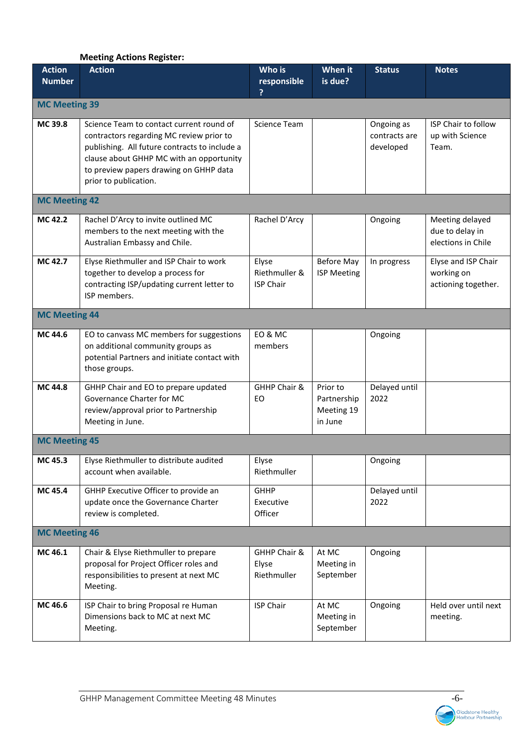# **Meeting Actions Register:**

| <b>Action</b><br><b>Number</b> | <b>Action</b>                                                                                                                                                                                                                                        | Who is<br>responsible<br>?                 | When it<br>is due?                               | <b>Status</b>                            | <b>Notes</b>                                             |
|--------------------------------|------------------------------------------------------------------------------------------------------------------------------------------------------------------------------------------------------------------------------------------------------|--------------------------------------------|--------------------------------------------------|------------------------------------------|----------------------------------------------------------|
| <b>MC Meeting 39</b>           |                                                                                                                                                                                                                                                      |                                            |                                                  |                                          |                                                          |
| MC 39.8                        | Science Team to contact current round of<br>contractors regarding MC review prior to<br>publishing. All future contracts to include a<br>clause about GHHP MC with an opportunity<br>to preview papers drawing on GHHP data<br>prior to publication. | Science Team                               |                                                  | Ongoing as<br>contracts are<br>developed | ISP Chair to follow<br>up with Science<br>Team.          |
| <b>MC Meeting 42</b>           |                                                                                                                                                                                                                                                      |                                            |                                                  |                                          |                                                          |
| MC 42.2                        | Rachel D'Arcy to invite outlined MC<br>members to the next meeting with the<br>Australian Embassy and Chile.                                                                                                                                         | Rachel D'Arcy                              |                                                  | Ongoing                                  | Meeting delayed<br>due to delay in<br>elections in Chile |
| MC 42.7                        | Elyse Riethmuller and ISP Chair to work<br>together to develop a process for<br>contracting ISP/updating current letter to<br>ISP members.                                                                                                           | Elyse<br>Riethmuller &<br><b>ISP Chair</b> | <b>Before May</b><br><b>ISP Meeting</b>          | In progress                              | Elyse and ISP Chair<br>working on<br>actioning together. |
| <b>MC Meeting 44</b>           |                                                                                                                                                                                                                                                      |                                            |                                                  |                                          |                                                          |
| MC 44.6                        | EO to canvass MC members for suggestions<br>on additional community groups as<br>potential Partners and initiate contact with<br>those groups.                                                                                                       | EO & MC<br>members                         |                                                  | Ongoing                                  |                                                          |
| MC 44.8                        | GHHP Chair and EO to prepare updated<br>Governance Charter for MC<br>review/approval prior to Partnership<br>Meeting in June.                                                                                                                        | GHHP Chair &<br>EO                         | Prior to<br>Partnership<br>Meeting 19<br>in June | Delayed until<br>2022                    |                                                          |
| <b>MC Meeting 45</b>           |                                                                                                                                                                                                                                                      |                                            |                                                  |                                          |                                                          |
| MC 45.3                        | Elyse Riethmuller to distribute audited<br>account when available.                                                                                                                                                                                   | Elyse<br>Riethmuller                       |                                                  | Ongoing                                  |                                                          |
| MC 45.4                        | GHHP Executive Officer to provide an<br>update once the Governance Charter<br>review is completed.                                                                                                                                                   | <b>GHHP</b><br>Executive<br>Officer        |                                                  | Delayed until<br>2022                    |                                                          |
| <b>MC Meeting 46</b>           |                                                                                                                                                                                                                                                      |                                            |                                                  |                                          |                                                          |
| MC 46.1                        | Chair & Elyse Riethmuller to prepare<br>proposal for Project Officer roles and<br>responsibilities to present at next MC<br>Meeting.                                                                                                                 | GHHP Chair &<br>Elyse<br>Riethmuller       | At MC<br>Meeting in<br>September                 | Ongoing                                  |                                                          |
| MC 46.6                        | ISP Chair to bring Proposal re Human<br>Dimensions back to MC at next MC<br>Meeting.                                                                                                                                                                 | <b>ISP Chair</b>                           | At MC<br>Meeting in<br>September                 | Ongoing                                  | Held over until next<br>meeting.                         |